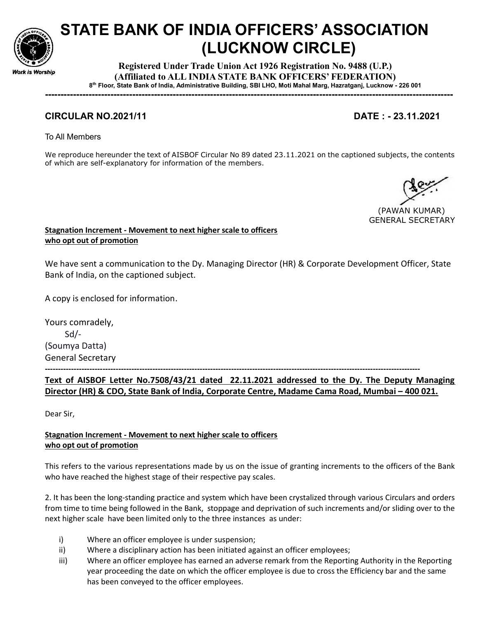

# STATE BANK OF INDIA OFFICERS' ASSOCIATION (LUCKNOW CIRCLE)

Registered Under Trade Union Act 1926 Registration No. 9488 (U.P.) (Affiliated to ALL INDIA STATE BANK OFFICERS' FEDERATION) 8 th Floor, State Bank of India, Administrative Building, SBI LHO, Moti Mahal Marg, Hazratganj, Lucknow - 226 001

-----------------------------------------------------------------------------------------------------------------------------------

## CIRCULAR NO.2021/11 DATE : - 23.11.2021

To All Members

We reproduce hereunder the text of AISBOF Circular No 89 dated 23.11.2021 on the captioned subjects, the contents of which are self-explanatory for information of the members.

 (PAWAN KUMAR) GENERAL SECRETARY

Stagnation Increment - Movement to next higher scale to officers who opt out of promotion

We have sent a communication to the Dy. Managing Director (HR) & Corporate Development Officer, State Bank of India, on the captioned subject.

A copy is enclosed for information.

Yours comradely, Sd/- (Soumya Datta) General Secretary

-----------------------------------------------------------------------------------------------------------------------------------------------

Text of AISBOF Letter No.7508/43/21 dated 22.11.2021 addressed to the Dy. The Deputy Managing Director (HR) & CDO, State Bank of India, Corporate Centre, Madame Cama Road, Mumbai – 400 021.

Dear Sir,

### Stagnation Increment - Movement to next higher scale to officers who opt out of promotion

This refers to the various representations made by us on the issue of granting increments to the officers of the Bank who have reached the highest stage of their respective pay scales.

2. It has been the long-standing practice and system which have been crystalized through various Circulars and orders from time to time being followed in the Bank, stoppage and deprivation of such increments and/or sliding over to the next higher scale have been limited only to the three instances as under:

- i) Where an officer employee is under suspension;
- ii) Where a disciplinary action has been initiated against an officer employees;
- iii) Where an officer employee has earned an adverse remark from the Reporting Authority in the Reporting year proceeding the date on which the officer employee is due to cross the Efficiency bar and the same has been conveyed to the officer employees.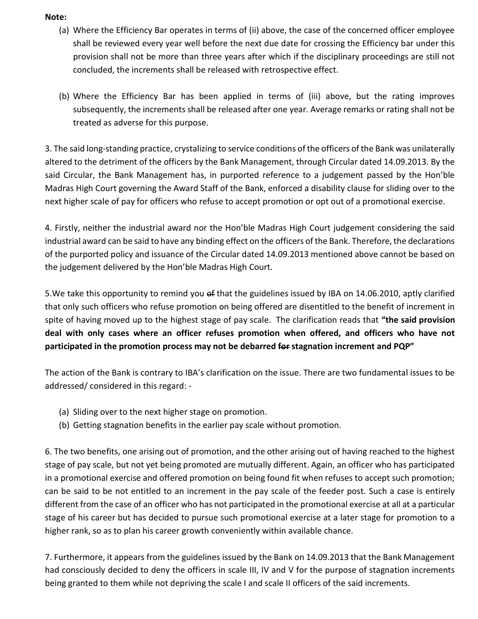### Note:

- (a) Where the Efficiency Bar operates in terms of (ii) above, the case of the concerned officer employee shall be reviewed every year well before the next due date for crossing the Efficiency bar under this provision shall not be more than three years after which if the disciplinary proceedings are still not concluded, the increments shall be released with retrospective effect.
- (b) Where the Efficiency Bar has been applied in terms of (iii) above, but the rating improves subsequently, the increments shall be released after one year. Average remarks or rating shall not be treated as adverse for this purpose.

3. The said long-standing practice, crystalizing to service conditions of the officers of the Bank was unilaterally altered to the detriment of the officers by the Bank Management, through Circular dated 14.09.2013. By the said Circular, the Bank Management has, in purported reference to a judgement passed by the Hon'ble Madras High Court governing the Award Staff of the Bank, enforced a disability clause for sliding over to the next higher scale of pay for officers who refuse to accept promotion or opt out of a promotional exercise.

4. Firstly, neither the industrial award nor the Hon'ble Madras High Court judgement considering the said industrial award can be said to have any binding effect on the officers of the Bank. Therefore, the declarations of the purported policy and issuance of the Circular dated 14.09.2013 mentioned above cannot be based on the judgement delivered by the Hon'ble Madras High Court.

5. We take this opportunity to remind you of that the guidelines issued by IBA on 14.06.2010, aptly clarified that only such officers who refuse promotion on being offered are disentitled to the benefit of increment in spite of having moved up to the highest stage of pay scale. The clarification reads that "the said provision deal with only cases where an officer refuses promotion when offered, and officers who have not participated in the promotion process may not be debarred for stagnation increment and PQP"

The action of the Bank is contrary to IBA's clarification on the issue. There are two fundamental issues to be addressed/ considered in this regard: -

- (a) Sliding over to the next higher stage on promotion.
- (b) Getting stagnation benefits in the earlier pay scale without promotion.

6. The two benefits, one arising out of promotion, and the other arising out of having reached to the highest stage of pay scale, but not yet being promoted are mutually different. Again, an officer who has participated in a promotional exercise and offered promotion on being found fit when refuses to accept such promotion; can be said to be not entitled to an increment in the pay scale of the feeder post. Such a case is entirely different from the case of an officer who has not participated in the promotional exercise at all at a particular stage of his career but has decided to pursue such promotional exercise at a later stage for promotion to a higher rank, so as to plan his career growth conveniently within available chance.

7. Furthermore, it appears from the guidelines issued by the Bank on 14.09.2013 that the Bank Management had consciously decided to deny the officers in scale III, IV and V for the purpose of stagnation increments being granted to them while not depriving the scale I and scale II officers of the said increments.